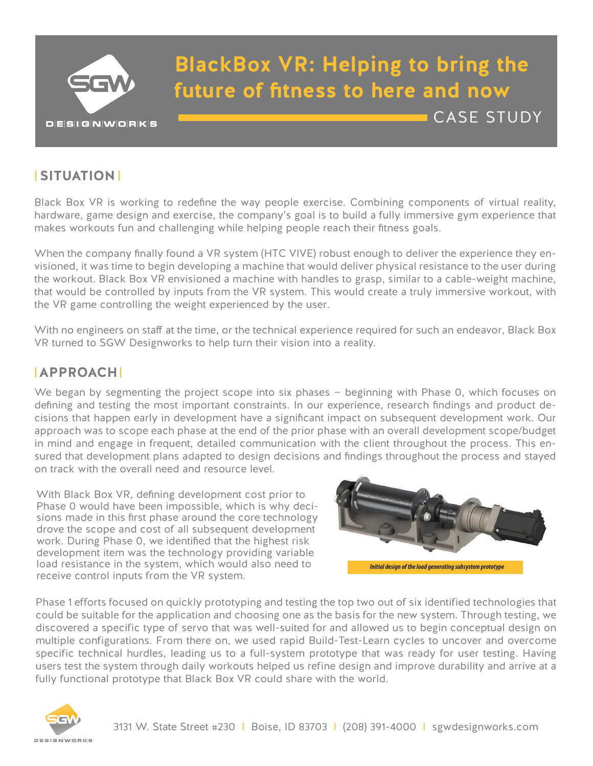

# **BlackBox VR: Helping to bring the future of fitness to here and now**

# **SITUATION**

Black Box VR is working to redefine the way people exercise. Combining components of virtual reality, hardware, game design and exercise, the company's goal is to build a fully immersive gym experience that makes workouts fun and challenging while helping people reach their fitness goals.

When the company finally found a VR system (HTC VIVE) robust enough to deliver the experience they envisioned, it was time to begin developing a machine that would deliver physical resistance to the user during the workout. Black Box VR envisioned a machine with handles to grasp, similar to a cable-weight machine, that would be controlled by inputs from the VR system. This would create a truly immersive workout, with the VR game controlling the weight experienced by the user.

With no engineers on staff at the time, or the technical experience required for such an endeavor, Black Box VR turned to SGW Designworks to help turn their vision into a reality.

### **APPROACH**

We began by segmenting the project scope into six phases – beginning with Phase 0, which focuses on defining and testing the most important constraints. In our experience, research findings and product decisions that happen early in development have a significant impact on subsequent development work. Our approach was to scope each phase at the end of the prior phase with an overall development scope/budget in mind and engage in frequent, detailed communication with the client throughout the process. This ensured that development plans adapted to design decisions and findings throughout the process and stayed on track with the overall need and resource level.

With Black Box VR, defining development cost prior to Phase 0 would have been impossible, which is why decisions made in this first phase around the core technology drove the scope and cost of all subsequent development work. During Phase 0, we identified that the highest risk development item was the technology providing variable load resistance in the system, which would also need to receive control inputs from the VR system.



CASE STUDY

Phase 1 efforts focused on quickly prototyping and testing the top two out of six identified technologies that could be suitable for the application and choosing one as the basis for the new system. Through testing, we discovered a specific type of servo that was well-suited for and allowed us to begin conceptual design on multiple configurations. From there on, we used rapid Build-Test-Learn cycles to uncover and overcome specific technical hurdles, leading us to a full-system prototype that was ready for user testing. Having users test the system through daily workouts helped us refine design and improve durability and arrive at a fully functional prototype that Black Box VR could share with the world.